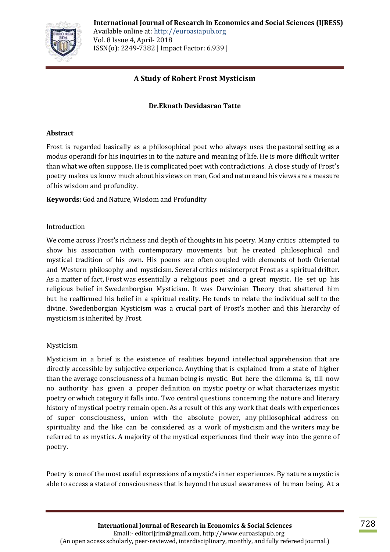

# **A Study of Robert Frost Mysticism**

# **Dr.Eknath Devidasrao Tatte**

### **Abstract**

Frost is regarded basically as a philosophical poet who always uses the pastoral setting as a modus operandi for his inquiries in to the nature and meaning of life. He is more difficult writer than what we often suppose. He is complicated poet with contradictions. A close study of Frost's poetry makes us know much about his views onman,God and nature and his views are a measure of his wisdom and profundity.

**Keywords:** God and Nature, Wisdom and Profundity

### Introduction

We come across Frost's richness and depth of thoughts in his poetry. Many critics attempted to show his association with contemporary movements but he created philosophical and mystical tradition of his own. His poems are often coupled with elements of both Oriental and Western philosophy and mysticism. Several critics misinterpret Frost as a spiritual drifter. As a matter of fact, Frost was essentially a religious poet and a great mystic. He set up his religious belief in Swedenborgian Mysticism. It was Darwinian Theory that shattered him but he reaffirmed his belief in a spiritual reality. He tends to relate the individual self to the divine. Swedenborgian Mysticism was a crucial part of Frost's mother and this hierarchy of mysticism is inherited by Frost.

# Mysticism

Mysticism in a brief is the existence of realities beyond intellectual apprehension that are directly accessible by subjective experience. Anything that is explained from a state of higher than the average consciousness of a human being is mystic. But here the dilemma is, till now no authority has given a proper definition on mystic poetry or what characterizes mystic poetry or which category it falls into. Two central questions concerning the nature and literary history of mystical poetry remain open. As a result of this any work that deals with experiences of super consciousness, union with the absolute power, any philosophical address on spirituality and the like can be considered as a work of mysticism and the writers may be referred to as mystics. A majority of the mystical experiences find their way into the genre of poetry.

Poetry is one of the most useful expressions of a mystic's inner experiences. By nature a mystic is able to access a state of consciousness that is beyond the usual awareness of human being. At a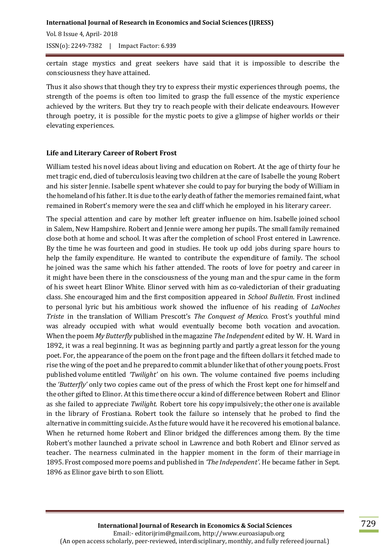**International Journal of Research in Economics and Social Sciences (IJRESS)**  Vol. 8 Issue 4, April- 2018

ISSN(o): 2249-7382 | Impact Factor: 6.939

certain stage mystics and great seekers have said that it is impossible to describe the consciousness they have attained.

Thus it also shows that though they try to express their mystic experiences through poems, the strength of the poems is often too limited to grasp the full essence of the mystic experience achieved by the writers. But they try to reach people with their delicate endeavours. However through poetry, it is possible for the mystic poets to give a glimpse of higher worlds or their elevating experiences.

### **Life and Literary Career of Robert Frost**

William tested his novel ideas about living and education on Robert. At the age of thirty four he met tragic end, died of tuberculosis leaving two children at the care of Isabelle the young Robert and his sister Jennie. Isabelle spent whatever she could to pay for burying the body of William in the homeland of his father. It is due to the early death of father the memories remained faint, what remained in Robert's memory were the sea and cliff which he employed in his literary career.

The special attention and care by mother left greater influence on him. Isabelle joined school in Salem, New Hampshire. Robert and Jennie were among her pupils. The small family remained close both at home and school. It was after the completion of school Frost entered in Lawrence. By the time he was fourteen and good in studies. He took up odd jobs during spare hours to help the family expenditure. He wanted to contribute the expenditure of family. The school he joined was the same which his father attended. The roots of love for poetry and career in it might have been there in the consciousness of the young man and the spur came in the form of his sweet heart Elinor White. Elinor served with him as co-valedictorian of their graduating class. She encouraged him and the first composition appeared in *School Bulletin*. Frost inclined to personal lyric but his ambitious work showed the influence of his reading of *LaNoches Triste* in the translation of William Prescott's *The Conquest of Mexico.* Frost's youthful mind was already occupied with what would eventually become both vocation and avocation. When the poem *My Butterfly* published inthe magazine *The Independent* edited by W. H. Ward in 1892, it was a real beginning. It was as beginning partly and partly a great lesson for the young poet. For, the appearance of the poem on the front page and the fifteen dollars it fetched made to rise the wing of the poet and he preparedto commit ablunder likethat of other young poets.Frost published volume entitled *'Twilight'* on his own. The volume contained five poems including the *'Butterfly'* only two copies came out of the press of which the Frost kept one for himself and the other gifted to Elinor. Atthis time there occur a kind of difference between Robert and Elinor as she failed to appreciate *Twilight.* Robert tore his copy impulsively;the other one is available in the library of Frostiana. Robert took the failure so intensely that he probed to find the alternative in committing suicide. As the futurewould have it he recovered his emotional balance. When he returned home Robert and Elinor bridged the differences among them. By the time Robert's mother launched a private school in Lawrence and both Robert and Elinor served as teacher. The nearness culminated in the happier moment in the form of their marriage in 1895. Frost composed more poems and published in *'The Independent'*. He became father in Sept. 1896 as Elinor gave birth to son Eliott.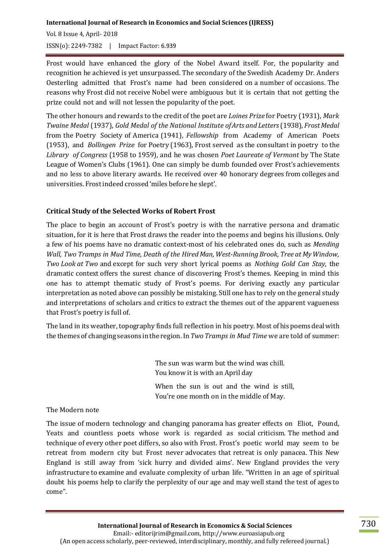Frost would have enhanced the glory of the Nobel Award itself. For, the popularity and recognition he achieved is yet unsurpassed. The secondary of the Swedish Academy Dr. Anders Oesterling admitted that Frost's name had been considered on a number of occasions. The reasons why Frost did not receive Nobel were ambiguous but it is certain that not getting the prize could not and will not lessen the popularity of the poet.

The other honours and rewards to the credit of the poet are *Loines Prize* for Poetry (1931), *Mark Twaine Medal* (1937), *Gold Medal of the National Institute ofArts and Letters*(1938), *FrostMedal* from the Poetry Society of America (1941), *Fellowship* from Academy of American Poets (1953), and *Bollingen Prize* for Poetry (1963), Frost served as the consultant in poetry to the *Library of Congress* (1958 to 1959), and he was chosen *Poet Laureate of Vermont* by The State League of Women's Clubs (1961). One can simply be dumb founded over Frost's achievements and no less to above literary awards. He received over 40 honorary degrees from colleges and universities. Frostindeed crossed 'miles before he slept'.

# **Critical Study of the Selected Works of Robert Frost**

The place to begin an account of Frost's poetry is with the narrative persona and dramatic situation, for it is here that Frost draws the reader into the poems and begins his illusions. Only a few of his poems have no dramatic context-most of his celebrated ones do, such as *Mending Wall, Two Tramps in Mud Time, Death of the HiredMan, West-Running Brook, Tree at MyWindow, Two Look at Two* and except for such very short lyrical poems as *Nothing Gold Can Stay*, the dramatic context offers the surest chance of discovering Frost's themes. Keeping in mind this one has to attempt thematic study of Frost's poems. For deriving exactly any particular interpretation as noted above can possibly be mistaking. Still one has to rely on the general study and interpretations of scholars and critics to extract the themes out of the apparent vagueness that Frost's poetry is full of.

The land in its weather, topography finds full reflection in his poetry. Most of his poems deal with the themes of changing seasons inthe region. In *Two Tramps in Mud Time* we are told of summer:

> The sun was warm but the wind was chill. You know it is with an April day

When the sun is out and the wind is still, You're one month on in the middle of May.

# The Modern note

The issue of modern technology and changing panorama has greater effects on Eliot, Pound, Yeats and countless poets whose work is regarded as social criticism. The method and technique of every other poet differs, so also with Frost. Frost's poetic world may seem to be retreat from modern city but Frost never advocates that retreat is only panacea. This New England is still away from 'sick hurry and divided aims'. New England provides the very infrastructure to examine and evaluate complexity of urban life. "Written in an age of spiritual doubt his poems help to clarify the perplexity of our age and may well stand the test of ages to come".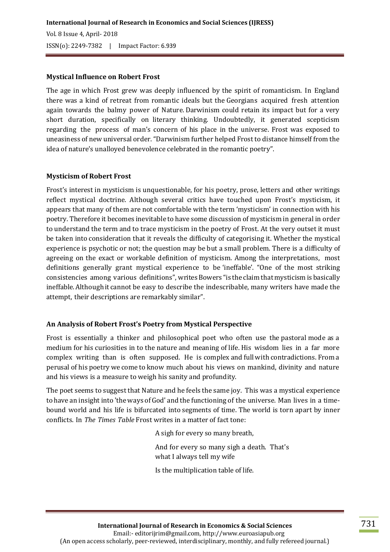#### **Mystical Influence on Robert Frost**

The age in which Frost grew was deeply influenced by the spirit of romanticism. In England there was a kind of retreat from romantic ideals but the Georgians acquired fresh attention again towards the balmy power of Nature. Darwinism could retain its impact but for a very short duration, specifically on literary thinking. Undoubtedly, it generated scepticism regarding the process of man's concern of his place in the universe. Frost was exposed to uneasiness of new universal order."Darwinism further helped Frost to distance himself from the idea of nature's unalloyed benevolence celebrated in the romantic poetry".

#### **Mysticism of Robert Frost**

Frost's interest in mysticism is unquestionable, for his poetry, prose, letters and other writings reflect mystical doctrine. Although several critics have touched upon Frost's mysticism, it appears that many of them are not comfortable with the term 'mysticism' in connection with his poetry. Therefore it becomes inevitable to have some discussion of mysticism in general in order to understand the term and to trace mysticism in the poetry of Frost. At the very outset it must be taken into consideration that it reveals the difficulty of categorising it. Whether the mystical experience is psychotic or not; the question may be but a small problem. There is a difficulty of agreeing on the exact or workable definition of mysticism. Among the interpretations, most definitions generally grant mystical experience to be 'ineffable'. "One of the most striking consistencies among various definitions", writes Bowers "is theclaimthat mysticism is basically ineffable.Although it cannot be easy to describe the indescribable, many writers have made the attempt, their descriptions are remarkably similar".

### **An Analysis of Robert Frost's Poetry from Mystical Perspective**

Frost is essentially a thinker and philosophical poet who often use the pastoral mode as a medium for his curiosities in to the nature and meaning of life. His wisdom lies in a far more complex writing than is often supposed. He is complex and full with contradictions. From a perusal of his poetry we come to know much about his views on mankind, divinity and nature and his views is a measure to weigh his sanity and profundity.

The poet seems to suggest that Nature and he feels the same joy. This was a mystical experience to have an insight into 'the ways of God' and the functioning of the universe. Man lives in a timebound world and his life is bifurcated into segments of time. The world is torn apart by inner conflicts. In *The Times Table* Frost writes in a matter of fact tone:

A sigh for every so many breath,

And for every so many sigh a death. That's what I always tell my wife

Is the multiplication table of life.